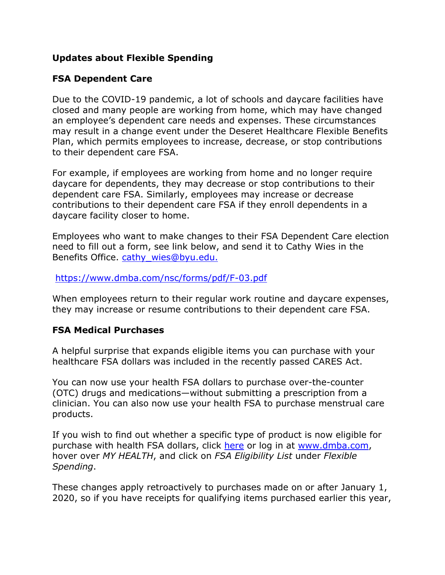## **Updates about Flexible Spending**

## **FSA Dependent Care**

Due to the COVID-19 pandemic, a lot of schools and daycare facilities have closed and many people are working from home, which may have changed an employee's dependent care needs and expenses. These circumstances may result in a change event under the Deseret Healthcare Flexible Benefits Plan, which permits employees to increase, decrease, or stop contributions to their dependent care FSA.

For example, if employees are working from home and no longer require daycare for dependents, they may decrease or stop contributions to their dependent care FSA. Similarly, employees may increase or decrease contributions to their dependent care FSA if they enroll dependents in a daycare facility closer to home.

Employees who want to make changes to their FSA Dependent Care election need to fill out a form, see link below, and send it to Cathy Wies in the Benefits Office. cathy wies@byu.edu.

## https://www.dmba.com/nsc/forms/pdf/F-03.pdf

When employees return to their regular work routine and daycare expenses, they may increase or resume contributions to their dependent care FSA.

## **FSA Medical Purchases**

A helpful surprise that expands eligible items you can purchase with your healthcare FSA dollars was included in the recently passed CARES Act.

You can now use your health FSA dollars to purchase over-the-counter (OTC) drugs and medications—without submitting a prescription from a clinician. You can also now use your health FSA to purchase menstrual care products.

If you wish to find out whether a specific type of product is now eligible for purchase with health FSA dollars, click here or log in at www.dmba.com, hover over *MY HEALTH*, and click on *FSA Eligibility List* under *Flexible Spending*.

These changes apply retroactively to purchases made on or after January 1, 2020, so if you have receipts for qualifying items purchased earlier this year,